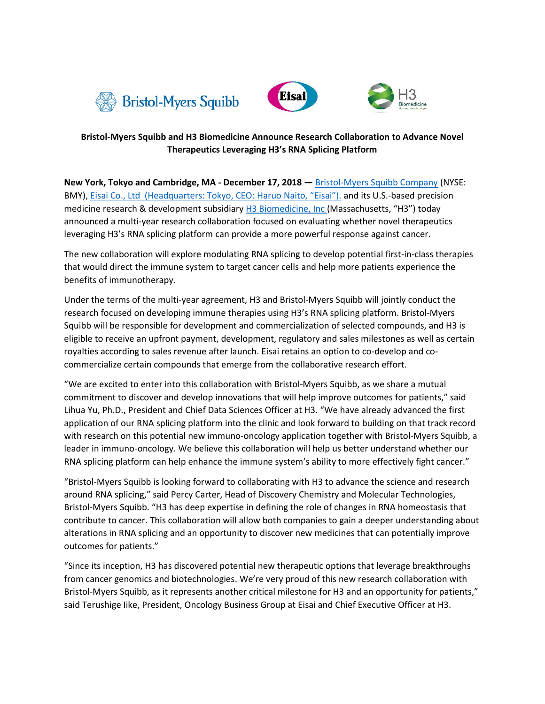





# **Bristol-Myers Squibb and H3 Biomedicine Announce Research Collaboration to Advance Novel Therapeutics Leveraging H3's RNA Splicing Platform**

**New York, Tokyo and Cambridge, MA - December 17, 2018 —** [Bristol-Myers Squibb Company](http://www.bms.com/) (NYSE: BMY), Eisai Co., Ltd [\(Headquarters: Tokyo, CEO: Haruo Naito, "Eisai"\)](http://www.eisai.com/). and its U.S.-based precision medicine research & development subsidiary H3 Biomedicine, Inc (Massachusetts, "H3") today announced a multi-year research collaboration focused on evaluating whether novel therapeutics leveraging H3's RNA splicing platform can provide a more powerful response against cancer.

The new collaboration will explore modulating RNA splicing to develop potential first-in-class therapies that would direct the immune system to target cancer cells and help more patients experience the benefits of immunotherapy.

Under the terms of the multi-year agreement, H3 and Bristol-Myers Squibb will jointly conduct the research focused on developing immune therapies using H3's RNA splicing platform. Bristol-Myers Squibb will be responsible for development and commercialization of selected compounds, and H3 is eligible to receive an upfront payment, development, regulatory and sales milestones as well as certain royalties according to sales revenue after launch. Eisai retains an option to co-develop and cocommercialize certain compounds that emerge from the collaborative research effort.

"We are excited to enter into this collaboration with Bristol-Myers Squibb, as we share a mutual commitment to discover and develop innovations that will help improve outcomes for patients," said Lihua Yu, Ph.D., President and Chief Data Sciences Officer at H3. "We have already advanced the first application of our RNA splicing platform into the clinic and look forward to building on that track record with research on this potential new immuno-oncology application together with Bristol-Myers Squibb, a leader in immuno-oncology. We believe this collaboration will help us better understand whether our RNA splicing platform can help enhance the immune system's ability to more effectively fight cancer."

"Bristol-Myers Squibb is looking forward to collaborating with H3 to advance the science and research around RNA splicing," said Percy Carter, Head of Discovery Chemistry and Molecular Technologies, Bristol-Myers Squibb. "H3 has deep expertise in defining the role of changes in RNA homeostasis that contribute to cancer. This collaboration will allow both companies to gain a deeper understanding about alterations in RNA splicing and an opportunity to discover new medicines that can potentially improve outcomes for patients."

"Since its inception, H3 has discovered potential new therapeutic options that leverage breakthroughs from cancer genomics and biotechnologies. We're very proud of this new research collaboration with Bristol-Myers Squibb, as it represents another critical milestone for H3 and an opportunity for patients," said Terushige Iike, President, Oncology Business Group at Eisai and Chief Executive Officer at H3.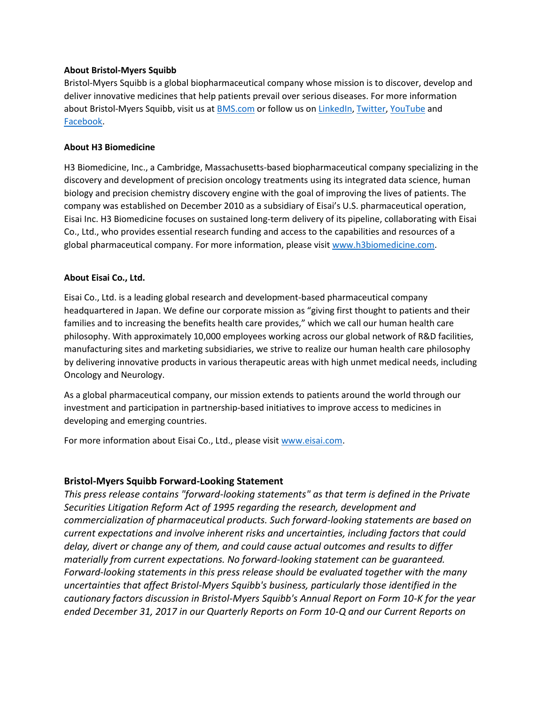## **About Bristol-Myers Squibb**

Bristol-Myers Squibb is a global biopharmaceutical company whose mission is to discover, develop and deliver innovative medicines that help patients prevail over serious diseases. For more information about Bristol-Myers Squibb, visit us a[t BMS.com](http://www.bms.com/) or follow us on [LinkedIn,](https://www.linkedin.com/company/bristol-myers-squibb) [Twitter,](http://twitter.com/bmsnews) [YouTube](https://www.youtube.com/channel/UCjFf4oKibYrHae2NZ_GPS6g) and [Facebook.](https://www.facebook.com/BristolMyersSquibb)

## **About H3 Biomedicine**

H3 Biomedicine, Inc., a Cambridge, Massachusetts-based biopharmaceutical company specializing in the discovery and development of precision oncology treatments using its integrated data science, human biology and precision chemistry discovery engine with the goal of improving the lives of patients. The company was established on December 2010 as a subsidiary of Eisai's U.S. pharmaceutical operation, Eisai Inc. H3 Biomedicine focuses on sustained long-term delivery of its pipeline, collaborating with Eisai Co., Ltd., who provides essential research funding and access to the capabilities and resources of a global pharmaceutical company. For more information, please visi[t www.h3biomedicine.com.](file:///C:/Users/jablonsk/AppData/Local/Microsoft/Windows/INetCache/Content.Outlook/NN243PQW/www.h3biomedicine.com)

### **About Eisai Co., Ltd.**

Eisai Co., Ltd. is a leading global research and development-based pharmaceutical company headquartered in Japan. We define our corporate mission as "giving first thought to patients and their families and to increasing the benefits health care provides," which we call our human health care philosophy. With approximately 10,000 employees working across our global network of R&D facilities, manufacturing sites and marketing subsidiaries, we strive to realize our human health care philosophy by delivering innovative products in various therapeutic areas with high unmet medical needs, including Oncology and Neurology.

As a global pharmaceutical company, our mission extends to patients around the world through our investment and participation in partnership-based initiatives to improve access to medicines in developing and emerging countries.

For more information about Eisai Co., Ltd., please visit [www.eisai.com.](file:///C:/Users/jablonsk/AppData/Local/Microsoft/Windows/INetCache/Content.Outlook/NN243PQW/www.eisai.com)

# **Bristol-Myers Squibb Forward-Looking Statement**

*This press release contains "forward-looking statements" as that term is defined in the Private Securities Litigation Reform Act of 1995 regarding the research, development and commercialization of pharmaceutical products. Such forward-looking statements are based on current expectations and involve inherent risks and uncertainties, including factors that could delay, divert or change any of them, and could cause actual outcomes and results to differ materially from current expectations. No forward-looking statement can be guaranteed. Forward-looking statements in this press release should be evaluated together with the many uncertainties that affect Bristol-Myers Squibb's business, particularly those identified in the cautionary factors discussion in Bristol-Myers Squibb's Annual Report on Form 10-K for the year ended December 31, 2017 in our Quarterly Reports on Form 10-Q and our Current Reports on*